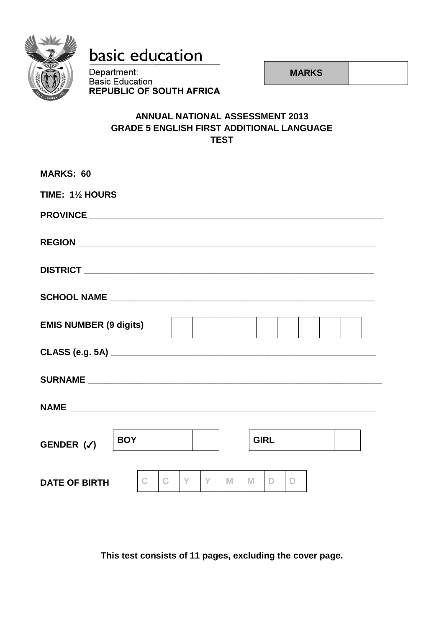

# basic education

Department: **Basic Education REPUBLIC OF SOUTH AFRICA** 

**MARKS**

### **ANNUAL NATIONAL ASSESSMENT 2013 GRADE 5 ENGLISH FIRST ADDITIONAL LANGUAGE TEST**

| <b>MARKS: 60</b>              |            |              |              |    |   |   |             |   |  |  |
|-------------------------------|------------|--------------|--------------|----|---|---|-------------|---|--|--|
| TIME: 11/2 HOURS              |            |              |              |    |   |   |             |   |  |  |
|                               |            |              |              |    |   |   |             |   |  |  |
|                               |            |              |              |    |   |   |             |   |  |  |
|                               |            |              |              |    |   |   |             |   |  |  |
|                               |            |              |              |    |   |   |             |   |  |  |
| <b>EMIS NUMBER (9 digits)</b> |            |              |              |    |   |   |             |   |  |  |
|                               |            |              |              |    |   |   |             |   |  |  |
|                               |            |              |              |    |   |   |             |   |  |  |
|                               |            |              |              |    |   |   |             |   |  |  |
| GENDER $(\checkmark)$         | <b>BOY</b> |              |              |    |   |   | <b>GIRL</b> |   |  |  |
| <b>DATE OF BIRTH</b>          |            | $\mathbb{C}$ | $\mathbb{C}$ | Y. | M | M | D.          | D |  |  |

**This test consists of 11 pages, excluding the cover page.**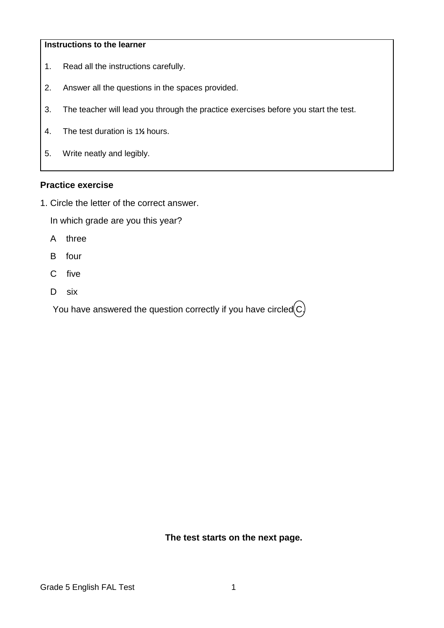#### **Instructions to the learner**

- 1. Read all the instructions carefully.
- 2. Answer all the questions in the spaces provided.
- 3. The teacher will lead you through the practice exercises before you start the test.
- 4. The test duration is 1**½** hours.
- 5. Write neatly and legibly.

#### **Practice exercise**

1. Circle the letter of the correct answer.

In which grade are you this year?

- A three
- B four
- C five
- D six

You have answered the question correctly if you have circled $\left( c\right)$ 

**The test starts on the next page.**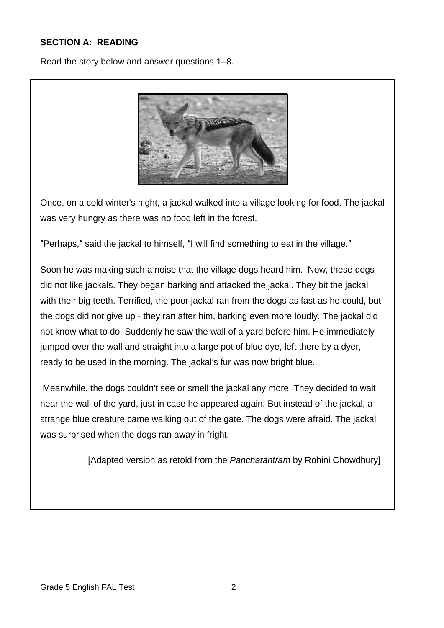### **SECTION A: READING**

Read the story below and answer questions 1–8.



Once, on a cold winter's night, a jackal walked into a village looking for food. The jackal was very hungry as there was no food left in the forest.

″Perhaps,″ said the jackal to himself, ″I will find something to eat in the village.″

Soon he was making such a noise that the village dogs heard him. Now, these dogs did not like jackals. They began barking and attacked the jackal. They bit the jackal with their big teeth. Terrified, the poor jackal ran from the dogs as fast as he could, but the dogs did not give up - they ran after him, barking even more loudly. The jackal did not know what to do. Suddenly he saw the wall of a yard before him. He immediately jumped over the wall and straight into a large pot of blue dye, left there by a dyer, ready to be used in the morning. The jackal′s fur was now bright blue.

Meanwhile, the dogs couldn't see or smell the jackal any more. They decided to wait near the wall of the yard, just in case he appeared again. But instead of the jackal, a strange blue creature came walking out of the gate. The dogs were afraid. The jackal was surprised when the dogs ran away in fright.

[Adapted version as retold from the *[Panchatantram](http://www.longlongtimeago.com/llta_fables_panchatantra.html)* by Rohini Chowdhury]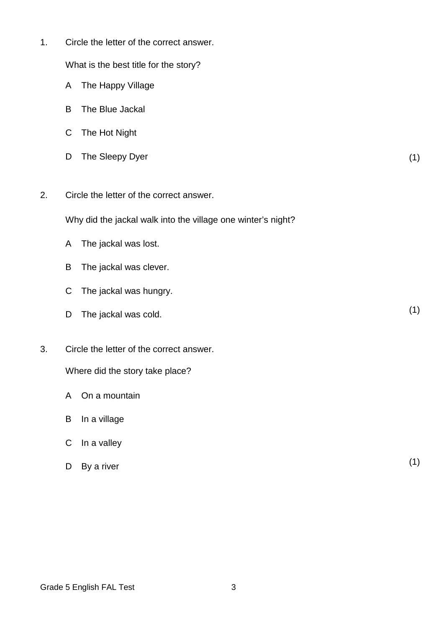What is the best title for the story?

- A The Happy Village
- B The Blue Jackal
- C The Hot Night
- D The Sleepy Dyer (1)
- 2. Circle the letter of the correct answer.

Why did the jackal walk into the village one winter's night?

- A The jackal was lost.
- B The jackal was clever.
- C The jackal was hungry.
- D The jackal was cold. (1)
- 3. Circle the letter of the correct answer.

Where did the story take place?

- A On a mountain
- B In a village
- C In a valley
- D By a river By a river (1)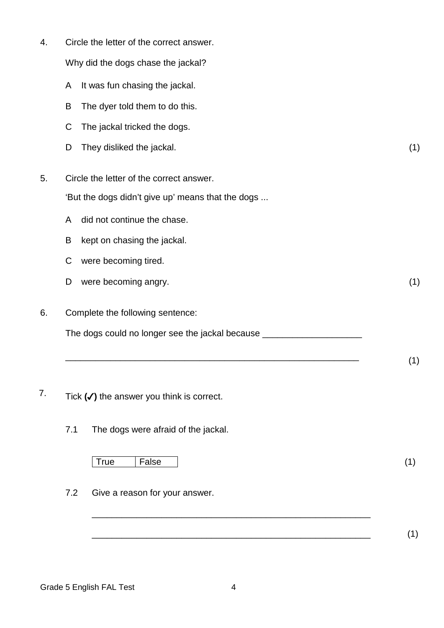Why did the dogs chase the jackal?

- A It was fun chasing the jackal.
- B The dyer told them to do this.
- C The jackal tricked the dogs.
- D They disliked the jackal. (1)

 $\overline{\phantom{a}1}$ 

5. Circle the letter of the correct answer.

'But the dogs didn't give up' means that the dogs ...

- A did not continue the chase.
- B kept on chasing the jackal.
- C were becoming tired.
- D were becoming angry. (1)
- 6. Complete the following sentence:

The dogs could no longer see the jackal because \_\_\_\_\_\_\_\_\_\_\_\_\_\_\_\_\_\_\_\_\_\_\_\_\_\_\_\_\_\_\_\_

- 7. Tick **(**✓**)** the answer you think is correct.
	- 7.1 The dogs were afraid of the jackal.

True False (1)

7.2 Give a reason for your answer.

Grade 5 English FAL Test 4

\_\_\_\_\_\_\_\_\_\_\_\_\_\_\_\_\_\_\_\_\_\_\_\_\_\_\_\_\_\_\_\_\_\_\_\_\_\_\_\_\_\_\_\_\_\_\_\_\_\_\_\_\_\_\_\_

\_\_\_\_\_\_\_\_\_\_\_\_\_\_\_\_\_\_\_\_\_\_\_\_\_\_\_\_\_\_\_\_\_\_\_\_\_\_\_\_\_\_\_\_\_\_\_\_\_\_\_\_\_\_\_\_ (1)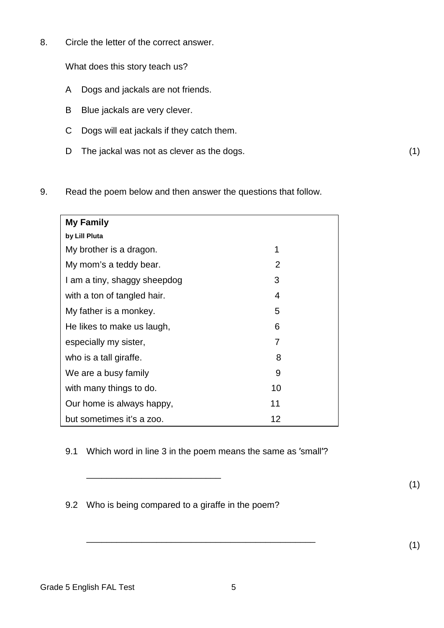What does this story teach us?

- A Dogs and jackals are not friends.
- B Blue jackals are very clever.
- C Dogs will eat jackals if they catch them.
- D The jackal was not as clever as the dogs. (1)
- 9. Read the poem below and then answer the questions that follow.

| <b>My Family</b>             |    |  |
|------------------------------|----|--|
| by Lill Pluta                |    |  |
| My brother is a dragon.      | 1  |  |
| My mom's a teddy bear.       | 2  |  |
| I am a tiny, shaggy sheepdog | 3  |  |
| with a ton of tangled hair.  | 4  |  |
| My father is a monkey.       | 5  |  |
| He likes to make us laugh,   | 6  |  |
| especially my sister,        | 7  |  |
| who is a tall giraffe.       | 8  |  |
| We are a busy family         | 9  |  |
| with many things to do.      | 10 |  |
| Our home is always happy,    | 11 |  |
| but sometimes it's a zoo.    | 12 |  |

9.1 Which word in line 3 in the poem means the same as 'small'?

9.2 Who is being compared to a giraffe in the poem?

\_\_\_\_\_\_\_\_\_\_\_\_\_\_\_\_\_\_\_\_\_\_\_\_\_\_\_

 $\overline{\phantom{a}}$  (1)

(1)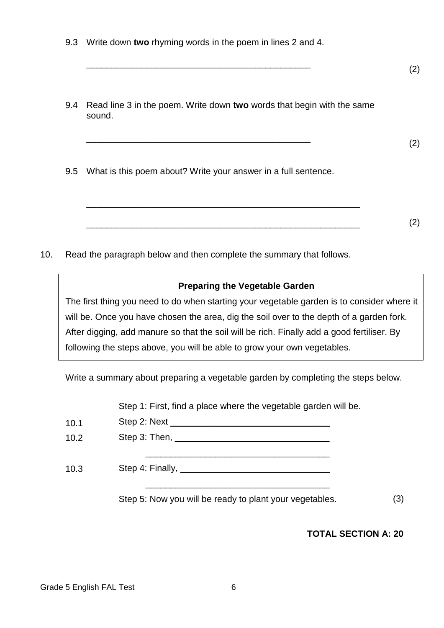|  |  |  |  |  | 9.3 Write down two rhyming words in the poem in lines 2 and 4. |
|--|--|--|--|--|----------------------------------------------------------------|
|--|--|--|--|--|----------------------------------------------------------------|

 $\overline{\phantom{a}}$  (2)

9.4 Read line 3 in the poem. Write down **two** words that begin with the same sound.

\_\_\_\_\_\_\_\_\_\_\_\_\_\_\_\_\_\_\_\_\_\_\_\_\_\_\_\_\_\_\_\_\_\_\_\_\_\_\_\_\_\_\_\_\_\_\_\_\_\_\_\_\_\_\_

\_\_\_\_\_\_\_\_\_\_\_\_\_\_\_\_\_\_\_\_\_\_\_\_\_\_\_\_\_\_\_\_\_\_\_\_\_\_\_\_\_\_\_\_\_\_\_\_\_\_\_\_\_\_\_

 $\overline{\phantom{a}}$  (2)

(2)

9.5 What is this poem about? Write your answer in a full sentence.

10. Read the paragraph below and then complete the summary that follows.

## **Preparing the Vegetable Garden**

The first thing you need to do when starting your vegetable garden is to consider where it will be. Once you have chosen the area, dig the soil over to the depth of a garden fork. After digging, add manure so that the soil will be rich. Finally add a good fertiliser. By following the steps above, you will be able to grow your own vegetables.

Write a summary about preparing a vegetable garden by completing the steps below.

10.1 10.2 10.3 Step 1: First, find a place where the vegetable garden will be. Step 2: Next Step 3: Then, \_\_\_\_\_\_\_\_\_\_\_\_\_\_\_ \_\_\_\_ \_\_\_\_\_\_\_\_\_\_ \_\_\_\_\_\_\_\_\_\_\_\_\_\_\_\_\_\_\_\_\_\_\_\_\_\_\_\_\_\_\_\_\_\_\_\_\_ Step 4: Finally, \_\_\_\_\_\_\_\_\_\_\_\_\_\_\_\_\_\_\_\_\_\_\_\_\_\_\_\_\_\_ \_\_\_\_\_\_\_\_\_\_\_\_\_\_\_\_\_\_\_\_\_\_\_\_\_\_\_\_\_\_\_\_\_\_\_\_\_ Step 5: Now you will be ready to plant your vegetables. (3)

**TOTAL SECTION A: 20**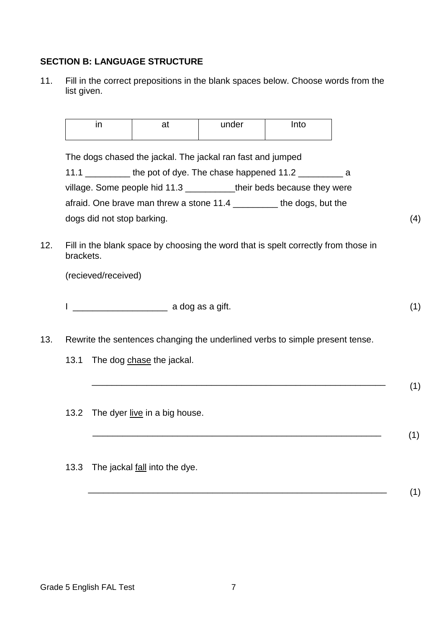#### **SECTION B: LANGUAGE STRUCTURE**

11. Fill in the correct prepositions in the blank spaces below. Choose words from the list given.

| <br> | under | $\sim$<br>ιυ |
|------|-------|--------------|
|------|-------|--------------|

The dogs chased the jackal. The jackal ran fast and jumped

| the pot of dye. The chase happened 11.2<br>11.1 | a                            |     |
|-------------------------------------------------|------------------------------|-----|
| village. Some people hid 11.3                   | their beds because they were |     |
| afraid. One brave man threw a stone 11.4        | the dogs, but the            |     |
| dogs did not stop barking.                      |                              | (4) |

12. Fill in the blank space by choosing the word that is spelt correctly from those in brackets.

(recieved/received)

 $\Box$  a dog as a gift. (1)

\_\_\_\_\_\_\_\_\_\_\_\_\_\_\_\_\_\_\_\_\_\_\_\_\_\_\_\_\_\_\_\_\_\_\_\_\_\_\_\_\_\_\_\_\_\_\_\_\_\_\_\_\_\_\_\_\_\_\_ (1)

 $\blacksquare$  (1)

- 13. Rewrite the sentences changing the underlined verbs to simple present tense.
	- 13.1 The dog chase the jackal.
	- 13.2 The dyer live in a big house.
	- 13.3 The jackal fall into the dye.
		- \_\_\_\_\_\_\_\_\_\_\_\_\_\_\_\_\_\_\_\_\_\_\_\_\_\_\_\_\_\_\_\_\_\_\_\_\_\_\_\_\_\_\_\_\_\_\_\_\_\_\_\_\_\_\_\_\_\_\_\_ (1)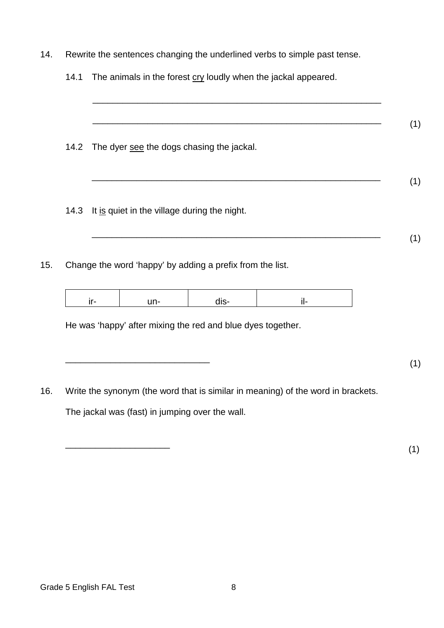| Rewrite the sentences changing the underlined verbs to simple past tense. |
|---------------------------------------------------------------------------|
| The animals in the forest cry loudly when the jackal appeared.            |
|                                                                           |
|                                                                           |
|                                                                           |
|                                                                           |
|                                                                           |
|                                                                           |
|                                                                           |
|                                                                           |

The jackal was (fast) in jumping over the wall.

 $\overline{\phantom{a}}$  (1)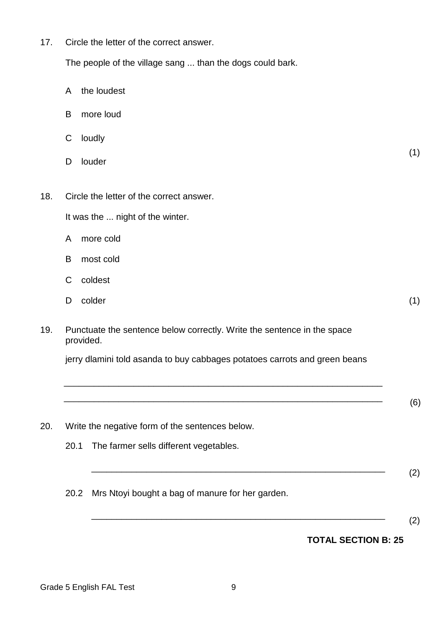The people of the village sang ... than the dogs could bark.

- A the loudest
- B more loud
- C loudly
- D louder
- 18. Circle the letter of the correct answer.

It was the ... night of the winter.

- A more cold
- B most cold
- C coldest
- D colder colder (1)
	-

(1)

19. Punctuate the sentence below correctly. Write the sentence in the space provided.

jerry dlamini told asanda to buy cabbages potatoes carrots and green beans

\_\_\_\_\_\_\_\_\_\_\_\_\_\_\_\_\_\_\_\_\_\_\_\_\_\_\_\_\_\_\_\_\_\_\_\_\_\_\_\_\_\_\_\_\_\_\_\_\_\_\_\_\_\_\_\_\_\_\_\_\_\_\_\_

\_\_\_\_\_\_\_\_\_\_\_\_\_\_\_\_\_\_\_\_\_\_\_\_\_\_\_\_\_\_\_\_\_\_\_\_\_\_\_\_\_\_\_\_\_\_\_\_\_\_\_\_\_\_\_\_\_\_\_\_\_\_\_\_ (6)

20. Write the negative form of the sentences below. 20.1 The farmer sells different vegetables. \_\_\_\_\_\_\_\_\_\_\_\_\_\_\_\_\_\_\_\_\_\_\_\_\_\_\_\_\_\_\_\_\_\_\_\_\_\_\_\_\_\_\_\_\_\_\_\_\_\_\_\_\_\_\_\_\_\_\_ (2) 20.2 Mrs Ntoyi bought a bag of manure for her garden.

\_\_\_\_\_\_\_\_\_\_\_\_\_\_\_\_\_\_\_\_\_\_\_\_\_\_\_\_\_\_\_\_\_\_\_\_\_\_\_\_\_\_\_\_\_\_\_\_\_\_\_\_\_\_\_\_\_\_\_ (2)

#### **TOTAL SECTION B: 25**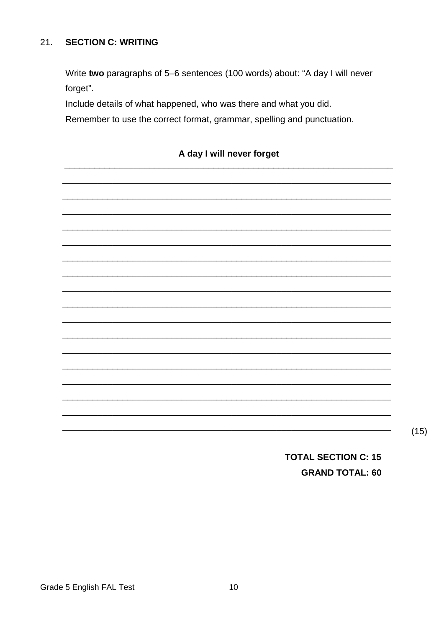#### $21.$ **SECTION C: WRITING**

Write two paragraphs of 5-6 sentences (100 words) about: "A day I will never forget".

Include details of what happened, who was there and what you did.

Remember to use the correct format, grammar, spelling and punctuation.

### A day I will never forget

 $(15)$ 

**TOTAL SECTION C: 15 GRAND TOTAL: 60**